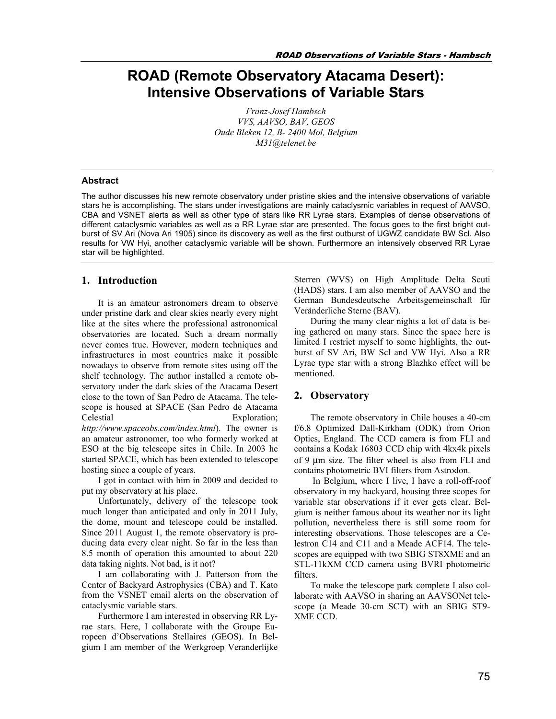# **ROAD (Remote Observatory Atacama Desert): Intensive Observations of Variable Stars**

*Franz-Josef Hambsch VVS, AAVSO, BAV, GEOS Oude Bleken 12, B- 2400 Mol, Belgium M31@telenet.be*

#### **Abstract**

The author discusses his new remote observatory under pristine skies and the intensive observations of variable stars he is accomplishing. The stars under investigations are mainly cataclysmic variables in request of AAVSO, CBA and VSNET alerts as well as other type of stars like RR Lyrae stars. Examples of dense observations of different cataclysmic variables as well as a RR Lyrae star are presented. The focus goes to the first bright outburst of SV Ari (Nova Ari 1905) since its discovery as well as the first outburst of UGWZ candidate BW Scl. Also results for VW Hyi, another cataclysmic variable will be shown. Furthermore an intensively observed RR Lyrae star will be highlighted.

#### **1. Introduction**

It is an amateur astronomers dream to observe under pristine dark and clear skies nearly every night like at the sites where the professional astronomical observatories are located. Such a dream normally never comes true. However, modern techniques and infrastructures in most countries make it possible nowadays to observe from remote sites using off the shelf technology. The author installed a remote observatory under the dark skies of the Atacama Desert close to the town of San Pedro de Atacama. The telescope is housed at SPACE (San Pedro de Atacama Celestial Exploration; *http://www.spaceobs.com/index.html*). The owner is an amateur astronomer, too who formerly worked at ESO at the big telescope sites in Chile. In 2003 he started SPACE, which has been extended to telescope hosting since a couple of years.

I got in contact with him in 2009 and decided to put my observatory at his place.

Unfortunately, delivery of the telescope took much longer than anticipated and only in 2011 July, the dome, mount and telescope could be installed. Since 2011 August 1, the remote observatory is producing data every clear night. So far in the less than 8.5 month of operation this amounted to about 220 data taking nights. Not bad, is it not?

I am collaborating with J. Patterson from the Center of Backyard Astrophysics (CBA) and T. Kato from the VSNET email alerts on the observation of cataclysmic variable stars.

Furthermore I am interested in observing RR Lyrae stars. Here, I collaborate with the Groupe Europeen d'Observations Stellaires (GEOS). In Belgium I am member of the Werkgroep Veranderlijke Sterren (WVS) on High Amplitude Delta Scuti (HADS) stars. I am also member of AAVSO and the German Bundesdeutsche Arbeitsgemeinschaft für Veränderliche Sterne (BAV).

During the many clear nights a lot of data is being gathered on many stars. Since the space here is limited I restrict myself to some highlights, the outburst of SV Ari, BW Scl and VW Hyi. Also a RR Lyrae type star with a strong Blazhko effect will be mentioned.

## **2. Observatory**

The remote observatory in Chile houses a 40-cm f/6.8 Optimized Dall-Kirkham (ODK) from Orion Optics, England. The CCD camera is from FLI and contains a Kodak 16803 CCD chip with 4kx4k pixels of 9 m size. The filter wheel is also from FLI and contains photometric BVI filters from Astrodon.

In Belgium, where I live, I have a roll-off-roof observatory in my backyard, housing three scopes for variable star observations if it ever gets clear. Belgium is neither famous about its weather nor its light pollution, nevertheless there is still some room for interesting observations. Those telescopes are a Celestron C14 and C11 and a Meade ACF14. The telescopes are equipped with two SBIG ST8XME and an STL-11kXM CCD camera using BVRI photometric filters.

To make the telescope park complete I also collaborate with AAVSO in sharing an AAVSONet telescope (a Meade 30-cm SCT) with an SBIG ST9- XME CCD.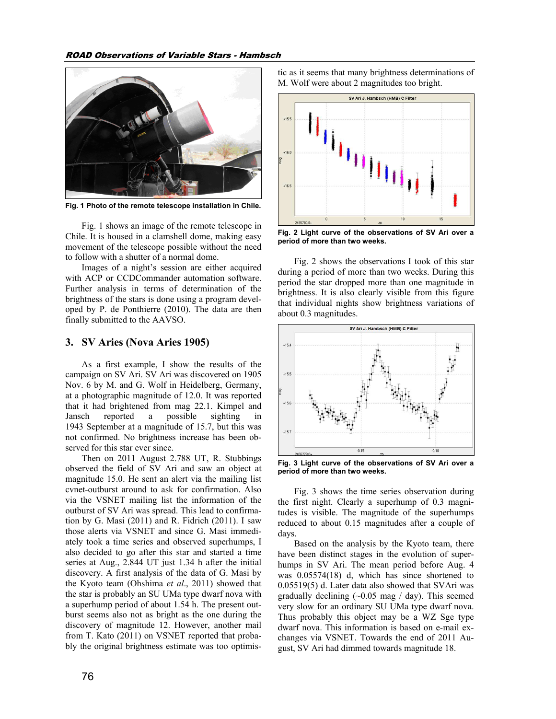

**Fig. 1 Photo of the remote telescope installation in Chile.** 

Fig. 1 shows an image of the remote telescope in Chile. It is housed in a clamshell dome, making easy movement of the telescope possible without the need to follow with a shutter of a normal dome.

Images of a night's session are either acquired with ACP or CCDCommander automation software. Further analysis in terms of determination of the brightness of the stars is done using a program developed by P. de Ponthierre (2010). The data are then finally submitted to the AAVSO.

#### **3. SV Aries (Nova Aries 1905)**

As a first example, I show the results of the campaign on SV Ari. SV Ari was discovered on 1905 Nov. 6 by M. and G. Wolf in Heidelberg, Germany, at a photographic magnitude of 12.0. It was reported that it had brightened from mag 22.1. Kimpel and Jansch reported a possible sighting in 1943 September at a magnitude of 15.7, but this was not confirmed. No brightness increase has been observed for this star ever since.

Then on 2011 August 2.788 UT, R. Stubbings observed the field of SV Ari and saw an object at magnitude 15.0. He sent an alert via the mailing list cvnet-outburst around to ask for confirmation. Also via the VSNET mailing list the information of the outburst of SV Ari was spread. This lead to confirmation by G. Masi (2011) and R. Fidrich (2011). I saw those alerts via VSNET and since G. Masi immediately took a time series and observed superhumps, I also decided to go after this star and started a time series at Aug., 2.844 UT just 1.34 h after the initial discovery. A first analysis of the data of G. Masi by the Kyoto team (Ohshima *et al*., 2011) showed that the star is probably an SU UMa type dwarf nova with a superhump period of about 1.54 h. The present outburst seems also not as bright as the one during the discovery of magnitude 12. However, another mail from T. Kato (2011) on VSNET reported that probably the original brightness estimate was too optimistic as it seems that many brightness determinations of M. Wolf were about 2 magnitudes too bright.



**Fig. 2 Light curve of the observations of SV Ari over a period of more than two weeks.**

Fig. 2 shows the observations I took of this star during a period of more than two weeks. During this period the star dropped more than one magnitude in brightness. It is also clearly visible from this figure that individual nights show brightness variations of about 0.3 magnitudes.



**Fig. 3 Light curve of the observations of SV Ari over a period of more than two weeks.**

Fig. 3 shows the time series observation during the first night. Clearly a superhump of 0.3 magnitudes is visible. The magnitude of the superhumps reduced to about 0.15 magnitudes after a couple of days.

Based on the analysis by the Kyoto team, there have been distinct stages in the evolution of superhumps in SV Ari. The mean period before Aug. 4 was 0.05574(18) d, which has since shortened to 0.05519(5) d. Later data also showed that SVAri was gradually declining  $(\sim 0.05 \text{ mag} / \text{day})$ . This seemed very slow for an ordinary SU UMa type dwarf nova. Thus probably this object may be a WZ Sge type dwarf nova. This information is based on e-mail exchanges via VSNET. Towards the end of 2011 August, SV Ari had dimmed towards magnitude 18.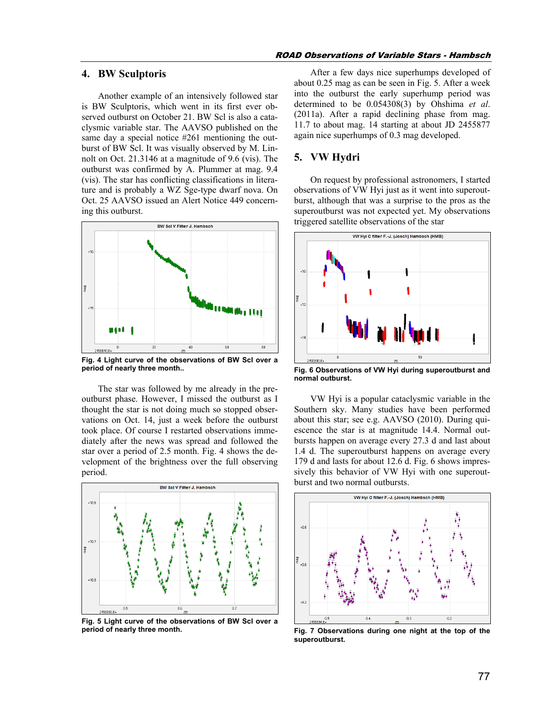## **4. BW Sculptoris**

Another example of an intensively followed star is BW Sculptoris, which went in its first ever observed outburst on October 21. BW Scl is also a cataclysmic variable star. The AAVSO published on the same day a special notice #261 mentioning the outburst of BW Scl. It was visually observed by M. Linnolt on Oct. 21.3146 at a magnitude of 9.6 (vis). The outburst was confirmed by A. Plummer at mag. 9.4 (vis). The star has conflicting classifications in literature and is probably a WZ Sge-type dwarf nova. On Oct. 25 AAVSO issued an Alert Notice 449 concerning this outburst.



**Fig. 4 Light curve of the observations of BW Scl over a period of nearly three month..** 

The star was followed by me already in the preoutburst phase. However, I missed the outburst as I thought the star is not doing much so stopped observations on Oct. 14, just a week before the outburst took place. Of course I restarted observations immediately after the news was spread and followed the star over a period of 2.5 month. Fig. 4 shows the development of the brightness over the full observing period.



**Fig. 5 Light curve of the observations of BW Scl over a period of nearly three month.** 

#### ROAD Observations of Variable Stars - Hambsch

After a few days nice superhumps developed of about 0.25 mag as can be seen in Fig. 5. After a week into the outburst the early superhump period was determined to be 0.054308(3) by Ohshima *et al*. (2011a). After a rapid declining phase from mag. 11.7 to about mag. 14 starting at about JD 2455877 again nice superhumps of 0.3 mag developed.

## **5. VW Hydri**

On request by professional astronomers, I started observations of VW Hyi just as it went into superoutburst, although that was a surprise to the pros as the superoutburst was not expected yet. My observations triggered satellite observations of the star



**Fig. 6 Observations of VW Hyi during superoutburst and normal outburst.** 

VW Hyi is a popular cataclysmic variable in the Southern sky. Many studies have been performed about this star; see e.g. AAVSO (2010). During quiescence the star is at magnitude 14.4. Normal outbursts happen on average every 27.3 d and last about 1.4 d. The superoutburst happens on average every 179 d and lasts for about 12.6 d. Fig. 6 shows impressively this behavior of VW Hyi with one superoutburst and two normal outbursts.



**Fig. 7 Observations during one night at the top of the superoutburst.**